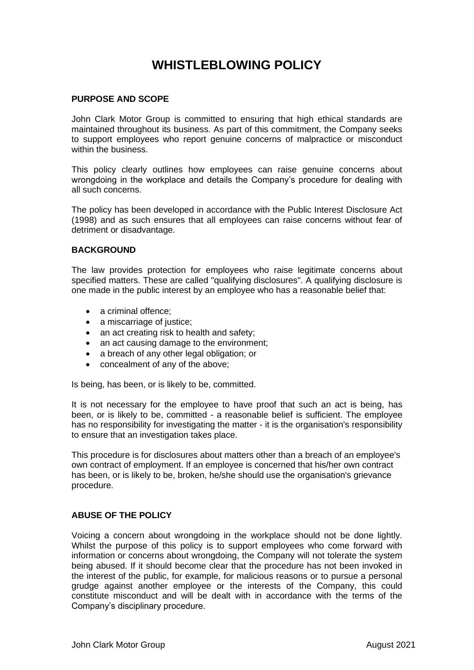# **WHISTLEBLOWING POLICY**

### **PURPOSE AND SCOPE**

John Clark Motor Group is committed to ensuring that high ethical standards are maintained throughout its business. As part of this commitment, the Company seeks to support employees who report genuine concerns of malpractice or misconduct within the business.

This policy clearly outlines how employees can raise genuine concerns about wrongdoing in the workplace and details the Company's procedure for dealing with all such concerns.

The policy has been developed in accordance with the Public Interest Disclosure Act (1998) and as such ensures that all employees can raise concerns without fear of detriment or disadvantage.

#### **BACKGROUND**

The law provides protection for employees who raise legitimate concerns about specified matters. These are called "qualifying disclosures". A qualifying disclosure is one made in the public interest by an employee who has a reasonable belief that:

- a criminal offence:
- a miscarriage of justice;
- an act creating risk to health and safety:
- an act causing damage to the environment;
- a breach of any other legal obligation; or
- concealment of any of the above;

Is being, has been, or is likely to be, committed.

It is not necessary for the employee to have proof that such an act is being, has been, or is likely to be, committed - a reasonable belief is sufficient. The employee has no responsibility for investigating the matter - it is the organisation's responsibility to ensure that an investigation takes place.

This procedure is for disclosures about matters other than a breach of an employee's own contract of employment. If an employee is concerned that his/her own contract has been, or is likely to be, broken, he/she should use the organisation's grievance procedure.

#### **ABUSE OF THE POLICY**

Voicing a concern about wrongdoing in the workplace should not be done lightly. Whilst the purpose of this policy is to support employees who come forward with information or concerns about wrongdoing, the Company will not tolerate the system being abused. If it should become clear that the procedure has not been invoked in the interest of the public, for example, for malicious reasons or to pursue a personal grudge against another employee or the interests of the Company, this could constitute misconduct and will be dealt with in accordance with the terms of the Company's disciplinary procedure.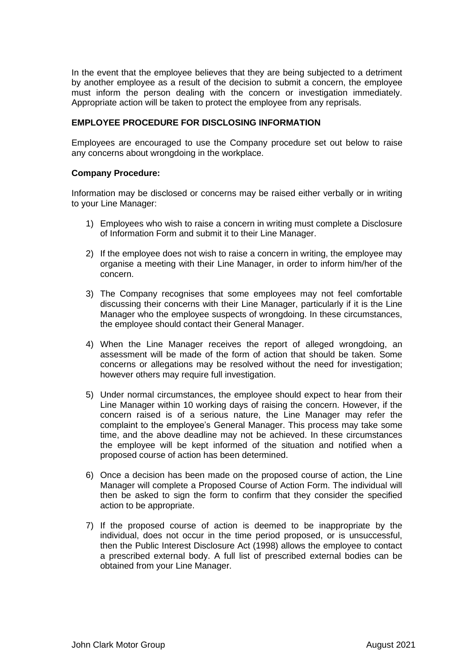In the event that the employee believes that they are being subjected to a detriment by another employee as a result of the decision to submit a concern, the employee must inform the person dealing with the concern or investigation immediately. Appropriate action will be taken to protect the employee from any reprisals.

## **EMPLOYEE PROCEDURE FOR DISCLOSING INFORMATION**

Employees are encouraged to use the Company procedure set out below to raise any concerns about wrongdoing in the workplace.

#### **Company Procedure:**

Information may be disclosed or concerns may be raised either verbally or in writing to your Line Manager:

- 1) Employees who wish to raise a concern in writing must complete a Disclosure of Information Form and submit it to their Line Manager.
- 2) If the employee does not wish to raise a concern in writing, the employee may organise a meeting with their Line Manager, in order to inform him/her of the concern.
- 3) The Company recognises that some employees may not feel comfortable discussing their concerns with their Line Manager, particularly if it is the Line Manager who the employee suspects of wrongdoing. In these circumstances, the employee should contact their General Manager.
- 4) When the Line Manager receives the report of alleged wrongdoing, an assessment will be made of the form of action that should be taken. Some concerns or allegations may be resolved without the need for investigation; however others may require full investigation.
- 5) Under normal circumstances, the employee should expect to hear from their Line Manager within 10 working days of raising the concern. However, if the concern raised is of a serious nature, the Line Manager may refer the complaint to the employee's General Manager. This process may take some time, and the above deadline may not be achieved. In these circumstances the employee will be kept informed of the situation and notified when a proposed course of action has been determined.
- 6) Once a decision has been made on the proposed course of action, the Line Manager will complete a Proposed Course of Action Form. The individual will then be asked to sign the form to confirm that they consider the specified action to be appropriate.
- 7) If the proposed course of action is deemed to be inappropriate by the individual, does not occur in the time period proposed, or is unsuccessful, then the Public Interest Disclosure Act (1998) allows the employee to contact a prescribed external body. A full list of prescribed external bodies can be obtained from your Line Manager.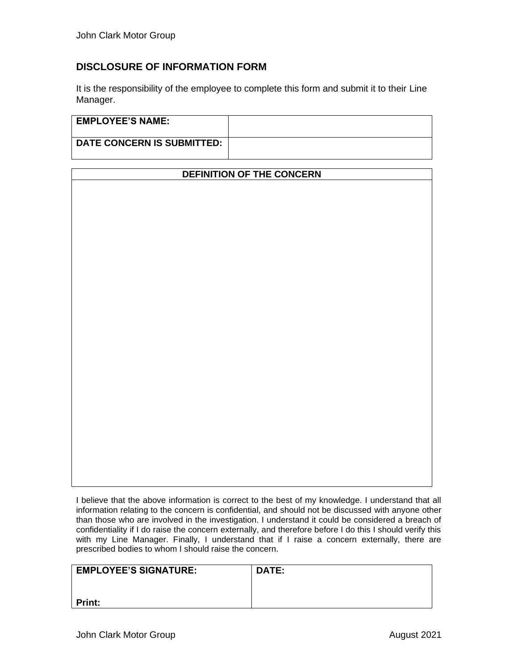## **DISCLOSURE OF INFORMATION FORM**

It is the responsibility of the employee to complete this form and submit it to their Line Manager.

| <b>EMPLOYEE'S NAME:</b>           |  |
|-----------------------------------|--|
| <b>DATE CONCERN IS SUBMITTED:</b> |  |

| <b>DEFINITION OF THE CONCERN</b> |  |  |  |
|----------------------------------|--|--|--|
|                                  |  |  |  |
|                                  |  |  |  |
|                                  |  |  |  |
|                                  |  |  |  |
|                                  |  |  |  |
|                                  |  |  |  |
|                                  |  |  |  |
|                                  |  |  |  |
|                                  |  |  |  |
|                                  |  |  |  |
|                                  |  |  |  |
|                                  |  |  |  |
|                                  |  |  |  |
|                                  |  |  |  |
|                                  |  |  |  |
|                                  |  |  |  |
|                                  |  |  |  |
|                                  |  |  |  |
|                                  |  |  |  |
|                                  |  |  |  |
|                                  |  |  |  |
|                                  |  |  |  |
|                                  |  |  |  |
|                                  |  |  |  |
|                                  |  |  |  |

I believe that the above information is correct to the best of my knowledge. I understand that all information relating to the concern is confidential, and should not be discussed with anyone other than those who are involved in the investigation. I understand it could be considered a breach of confidentiality if I do raise the concern externally, and therefore before I do this I should verify this with my Line Manager. Finally, I understand that if I raise a concern externally, there are prescribed bodies to whom I should raise the concern.

| <b>EMPLOYEE'S SIGNATURE:</b> | <b>DATE:</b> |
|------------------------------|--------------|
|                              |              |
| <b>Print:</b>                |              |